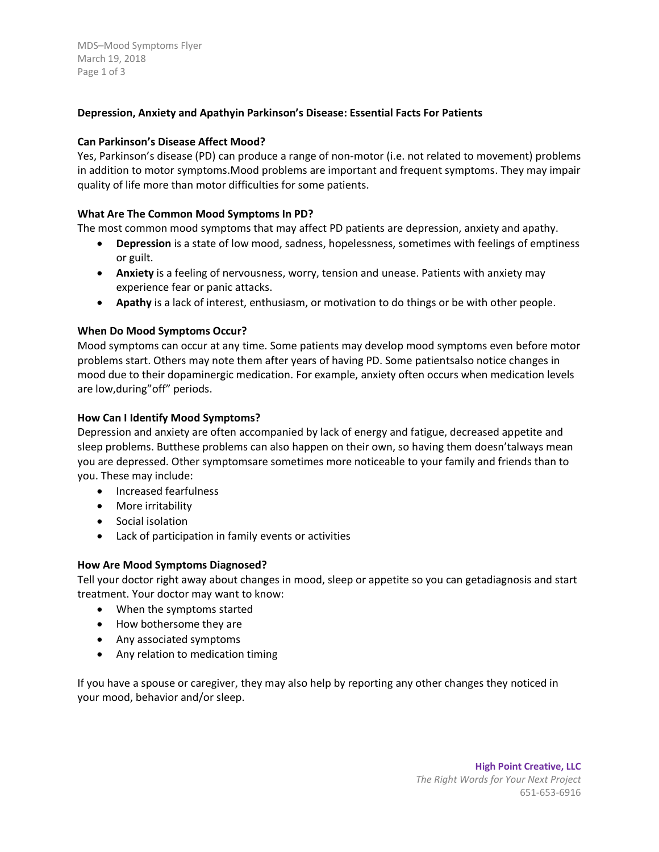MDS–Mood Symptoms Flyer March 19, 2018 Page 1 of 3

# **Depression, Anxiety and Apathyin Parkinson's Disease: Essential Facts For Patients**

## **Can Parkinson's Disease Affect Mood?**

Yes, Parkinson's disease (PD) can produce a range of non-motor (i.e. not related to movement) problems in addition to motor symptoms.Mood problems are important and frequent symptoms. They may impair quality of life more than motor difficulties for some patients.

## **What Are The Common Mood Symptoms In PD?**

The most common mood symptoms that may affect PD patients are depression, anxiety and apathy.

- **Depression** is a state of low mood, sadness, hopelessness, sometimes with feelings of emptiness or guilt.
- **Anxiety** is a feeling of nervousness, worry, tension and unease. Patients with anxiety may experience fear or panic attacks.
- **Apathy** is a lack of interest, enthusiasm, or motivation to do things or be with other people.

## **When Do Mood Symptoms Occur?**

Mood symptoms can occur at any time. Some patients may develop mood symptoms even before motor problems start. Others may note them after years of having PD. Some patientsalso notice changes in mood due to their dopaminergic medication. For example, anxiety often occurs when medication levels are low,during"off" periods.

## **How Can I Identify Mood Symptoms?**

Depression and anxiety are often accompanied by lack of energy and fatigue, decreased appetite and sleep problems. Butthese problems can also happen on their own, so having them doesn'talways mean you are depressed. Other symptomsare sometimes more noticeable to your family and friends than to you. These may include:

- **•** Increased fearfulness
- More irritability
- Social isolation
- Lack of participation in family events or activities

## **How Are Mood Symptoms Diagnosed?**

Tell your doctor right away about changes in mood, sleep or appetite so you can getadiagnosis and start treatment. Your doctor may want to know:

- When the symptoms started
- How bothersome they are
- Any associated symptoms
- Any relation to medication timing

If you have a spouse or caregiver, they may also help by reporting any other changes they noticed in your mood, behavior and/or sleep.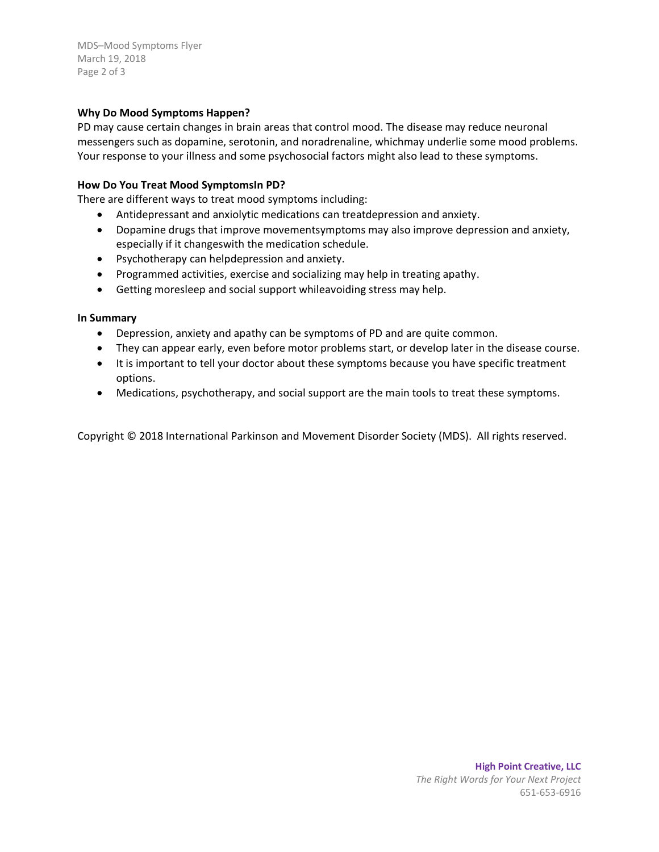MDS–Mood Symptoms Flyer March 19, 2018 Page 2 of 3

## **Why Do Mood Symptoms Happen?**

PD may cause certain changes in brain areas that control mood. The disease may reduce neuronal messengers such as dopamine, serotonin, and noradrenaline, whichmay underlie some mood problems. Your response to your illness and some psychosocial factors might also lead to these symptoms.

#### **How Do You Treat Mood SymptomsIn PD?**

There are different ways to treat mood symptoms including:

- Antidepressant and anxiolytic medications can treatdepression and anxiety.
- Dopamine drugs that improve movementsymptoms may also improve depression and anxiety, especially if it changeswith the medication schedule.
- Psychotherapy can helpdepression and anxiety.
- Programmed activities, exercise and socializing may help in treating apathy.
- Getting moresleep and social support whileavoiding stress may help.

#### **In Summary**

- Depression, anxiety and apathy can be symptoms of PD and are quite common.
- They can appear early, even before motor problems start, or develop later in the disease course.
- It is important to tell your doctor about these symptoms because you have specific treatment options.
- Medications, psychotherapy, and social support are the main tools to treat these symptoms.

Copyright © 2018 International Parkinson and Movement Disorder Society (MDS). All rights reserved.